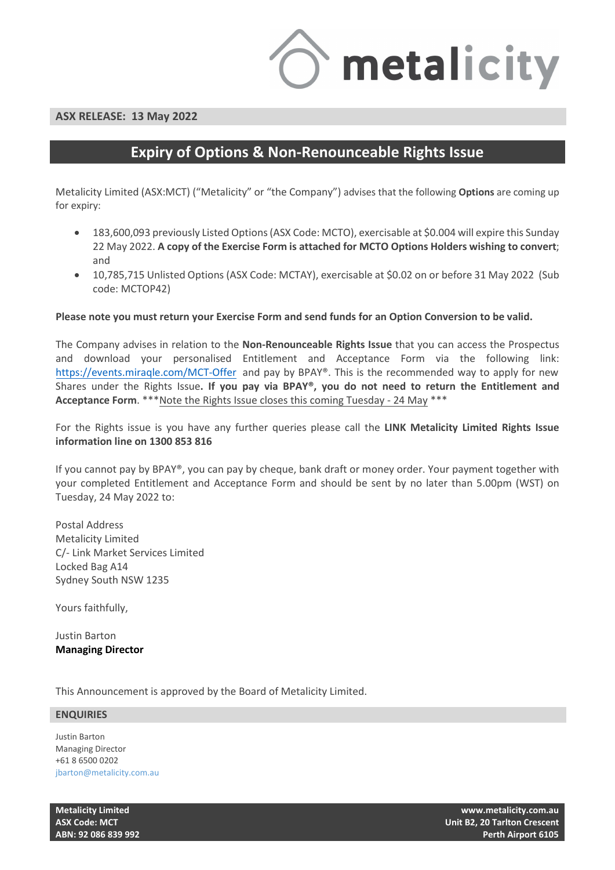

### **ASX RELEASE: 20 May 2022**

# **Expiry of Options & Non-Renounceable Rights Issue**

Metalicity Limited (ASX:MCT) ("Metalicity" or "the Company") advises that the following **Options** are coming up for expiry:

- as announced on 22 April 2022 183,600,093 previously Listed Options (ASX Code: MCTO), exercisable at \$0.004 will expire this Sunday 22 May 2022. **A copy of the Exercise Form is attached for MCTO Options Holders wishing to convert**; and
- 10,785,715 Unlisted Options (ASX Code: MCTAY), exercisable at \$0.02 on or before 31 May 2022 (Sub code: MCTOP42)

### **Please note you must return your Exercise Form and send funds for an Option Conversion to be valid.**

The Company advises that in relation to the **Non-Renounceable Rights Issue** that you can access the Prospectus and download your personalised Entitlement and Acceptance Form via the following link: [https://events.miraq](https://events.miraqle.com/MCT-Offer)le.com/MCT-Offer and pay by BPAY®. This is the recommended way to apply for new Shares under the Rights Issue**. If you pay via BPAY®, you do not need to return the Entitlement and Acceptance Form**. \*\*\*Note the Rights Issue closes this coming Tuesday - 24 May \*\*\*

If you have any any further queries on the Rights Issue please call the **Metalicity Limited Rights Issue information line on 1300 853 816.**

Note: If you cannot pay for the Rights Issue by BPAY®, you can pay by cheque, bank draft or money order. Your payment together with your completed Entitlement and Acceptance Form and should be sent by no later than 5.00pm (WST) on Tuesday, 24 May 2022 to:

Postal Address Metalicity Limited C/- Link Market Services Limited Locked Bag A14 Sydney South NSW 1235

Yours faithfully,

Justin Barton **Managing Director**

This Announcement is approved by the Board of Metalicity Limited.

#### **ENQUIRIES**

Justin Barton Managing Director +61 8 6500 0202 jbarton@metalicity.com.au